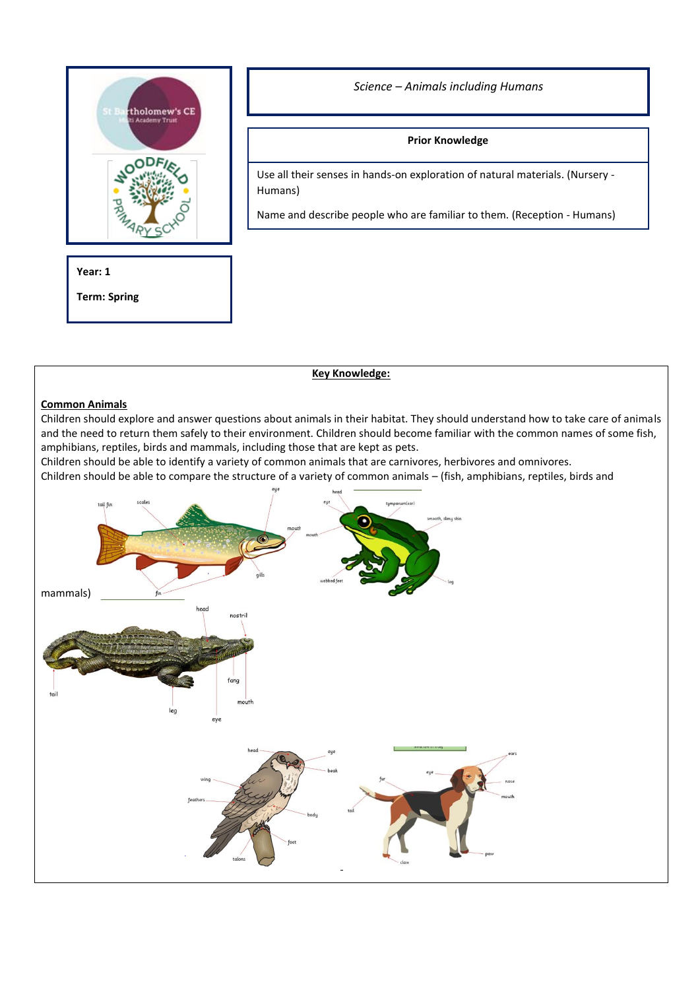

*Science – Animals including Humans*

# **Prior Knowledge**

Use all their senses in hands-on exploration of natural materials. (Nursery - Humans)

Name and describe people who are familiar to them. (Reception - Humans)

**Year: 1**

**Term: Spring**

**Key Knowledge:**

## **Common Animals**

Children should explore and answer questions about animals in their habitat. They should understand how to take care of animals and the need to return them safely to their environment. Children should become familiar with the common names of some fish, amphibians, reptiles, birds and mammals, including those that are kept as pets.

Children should be able to identify a variety of common animals that are carnivores, herbivores and omnivores.

Children should be able to compare the structure of a variety of common animals – (fish, amphibians, reptiles, birds and

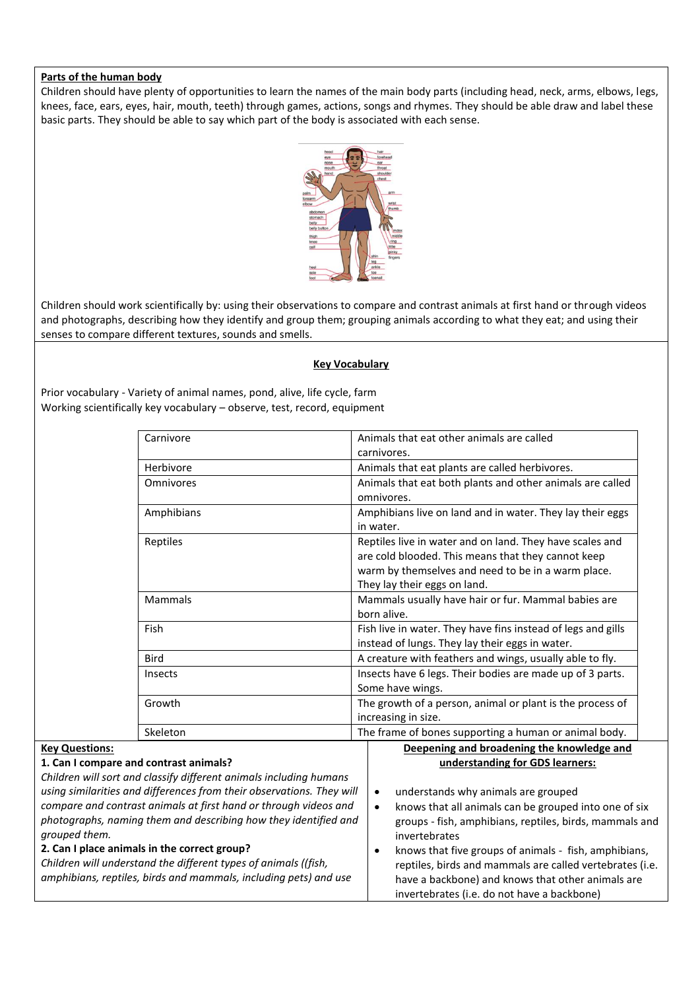### **Parts of the human body**

Children should have plenty of opportunities to learn the names of the main body parts (including head, neck, arms, elbows, legs, knees, face, ears, eyes, hair, mouth, teeth) through games, actions, songs and rhymes. They should be able draw and label these basic parts. They should be able to say which part of the body is associated with each sense.



Children should work scientifically by: using their observations to compare and contrast animals at first hand or through videos and photographs, describing how they identify and group them; grouping animals according to what they eat; and using their senses to compare different textures, sounds and smells.

#### **Key Vocabulary**

Prior vocabulary - Variety of animal names, pond, alive, life cycle, farm Working scientifically key vocabulary – observe, test, record, equipment

| Carnivore                                                             | Animals that eat other animals are called                          |
|-----------------------------------------------------------------------|--------------------------------------------------------------------|
|                                                                       | carnivores.                                                        |
| Herbivore                                                             | Animals that eat plants are called herbivores.                     |
| Omnivores                                                             | Animals that eat both plants and other animals are called          |
|                                                                       | omnivores.                                                         |
| Amphibians                                                            | Amphibians live on land and in water. They lay their eggs          |
|                                                                       | in water.                                                          |
| Reptiles                                                              | Reptiles live in water and on land. They have scales and           |
|                                                                       | are cold blooded. This means that they cannot keep                 |
|                                                                       | warm by themselves and need to be in a warm place.                 |
|                                                                       | They lay their eggs on land.                                       |
| Mammals                                                               | Mammals usually have hair or fur. Mammal babies are<br>born alive. |
| Fish                                                                  | Fish live in water. They have fins instead of legs and gills       |
|                                                                       | instead of lungs. They lay their eggs in water.                    |
| <b>Bird</b>                                                           | A creature with feathers and wings, usually able to fly.           |
| Insects                                                               | Insects have 6 legs. Their bodies are made up of 3 parts.          |
|                                                                       | Some have wings.                                                   |
| Growth                                                                | The growth of a person, animal or plant is the process of          |
|                                                                       | increasing in size.                                                |
| Skeleton                                                              | The frame of bones supporting a human or animal body.              |
| <b>Key Questions:</b>                                                 | Deepening and broadening the knowledge and                         |
| 1. Can I compare and contrast animals?                                | understanding for GDS learners:                                    |
| Children will sort and classify different animals including humans    |                                                                    |
| using similarities and differences from their observations. They will | understands why animals are grouped<br>$\bullet$                   |
| compare and contrast animals at first hand or through videos and      | knows that all animals can be grouped into one of six<br>$\bullet$ |
| photographs, naming them and describing how they identified and       | groups - fish, amphibians, reptiles, birds, mammals and            |
| grouped them.                                                         | invertebrates                                                      |
| 2. Can I place animals in the correct group?                          | knows that five groups of animals - fish, amphibians,<br>$\bullet$ |
| Children will understand the different types of animals ((fish,       | reptiles, birds and mammals are called vertebrates (i.e.           |
| amphibians, reptiles, birds and mammals, including pets) and use      | have a backbone) and knows that other animals are                  |
|                                                                       | invertebrates (i.e. do not have a backbone)                        |